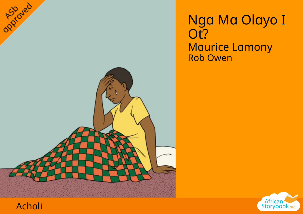





opproved

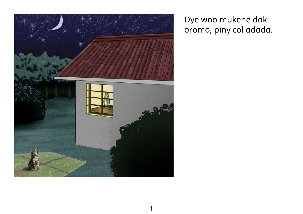

## Dye woo mukene dak oromo, piny col adada.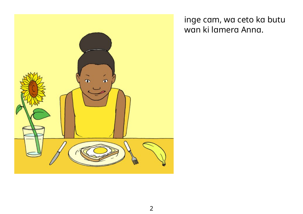

inge cam, wa ceto ka butu wan ki lamera Anna.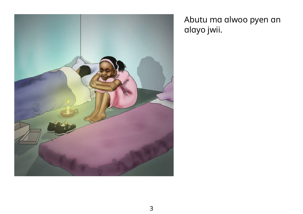

Abutu ma alwoo pyen an alayo jwii.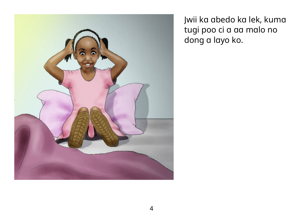

Jwii ka abedo ka lek, kuma tugi poo ci a aa malo no dong a layo ko.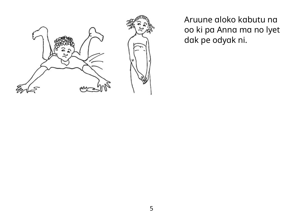

Aruune aloko kabutu na oo ki pa Anna ma no lyet dak pe odyak ni.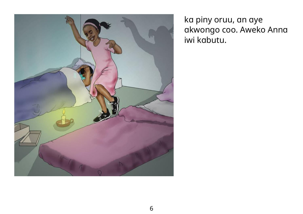

ka piny oruu, an aye akwongo coo. Aweko Anna iwi kabutu.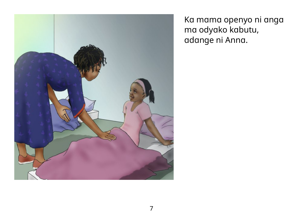

Ka mama openyo ni anga ma odyako kabutu, adange ni Anna.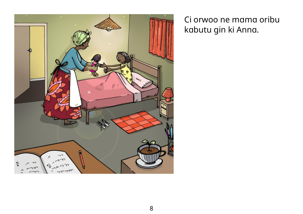

Ci orwoo ne mama oribu kabutu gin ki Anna.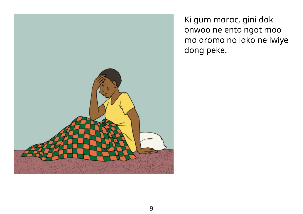

Ki gum marac, gini dak onwoo ne ento ngat moo ma aromo no lako ne iwiye dong peke.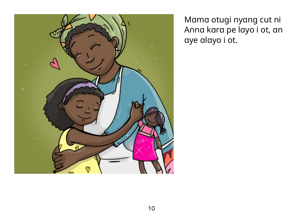

Mama otugi nyang cut ni Anna kara pe layo i ot, an aye alayo i ot.